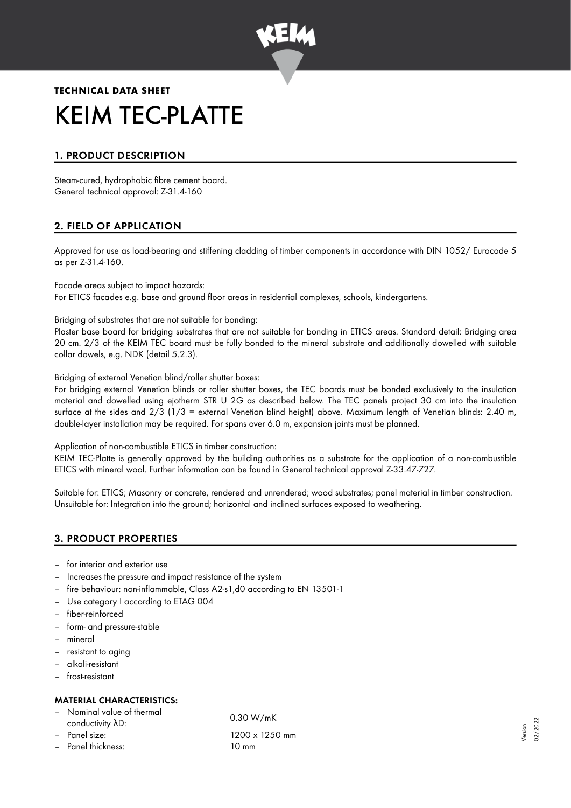

# **TECHNICAL DATA SHEET** KEIM TEC-PLATTE

# 1. PRODUCT DESCRIPTION

Steam-cured, hydrophobic fibre cement board. General technical approval: Z-31.4-160

# 2. FIELD OF APPLICATION

Approved for use as load-bearing and stiffening cladding of timber components in accordance with DIN 1052/ Eurocode 5 as per Z-31.4-160.

Facade areas subject to impact hazards:

For ETICS facades e.g. base and ground floor areas in residential complexes, schools, kindergartens.

Bridging of substrates that are not suitable for bonding:

Plaster base board for bridging substrates that are not suitable for bonding in ETICS areas. Standard detail: Bridging area 20 cm. 2/3 of the KEIM TEC board must be fully bonded to the mineral substrate and additionally dowelled with suitable collar dowels, e.g. NDK (detail 5.2.3).

Bridging of external Venetian blind/roller shutter boxes:

For bridging external Venetian blinds or roller shutter boxes, the TEC boards must be bonded exclusively to the insulation material and dowelled using ejotherm STR U 2G as described below. The TEC panels project 30 cm into the insulation surface at the sides and 2/3 (1/3 = external Venetian blind height) above. Maximum length of Venetian blinds: 2.40 m, double-layer installation may be required. For spans over 6.0 m, expansion joints must be planned.

Application of non-combustible ETICS in timber construction:

KEIM TEC-Platte is generally approved by the building authorities as a substrate for the application of a non-combustible ETICS with mineral wool. Further information can be found in General technical approval Z-33.47-727.

Suitable for: ETICS; Masonry or concrete, rendered and unrendered; wood substrates; panel material in timber construction. Unsuitable for: Integration into the ground; horizontal and inclined surfaces exposed to weathering.

# 3. PRODUCT PROPERTIES

- for interior and exterior use
- Increases the pressure and impact resistance of the system
- fire behaviour: non-inflammable, Class A2-s1,d0 according to EN 13501-1
- Use category I according to ETAG 004
- fiber-reinforced
- form- and pressure-stable
- mineral
- resistant to aging
- alkali-resistant
- frost-resistant

# MATERIAL CHARACTERISTICS:

- Nominal value of thermal
- 
- 
- Panel thickness: 10 mm

conductivity λD: 0.30 W/mK – Panel size: 1200 x 1250 mm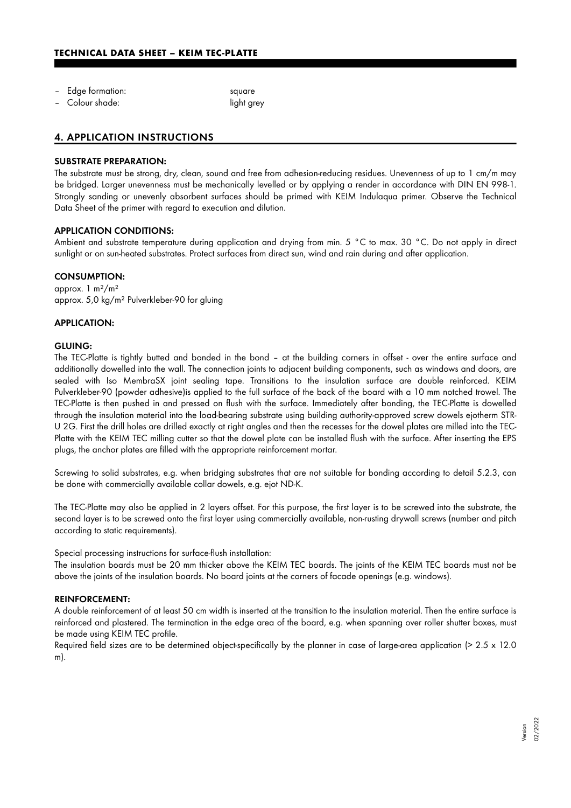- Edge formation: square
- Colour shade: light grey

# 4. APPLICATION INSTRUCTIONS

#### SUBSTRATE PREPARATION:

The substrate must be strong, dry, clean, sound and free from adhesion-reducing residues. Unevenness of up to 1 cm/m may be bridged. Larger unevenness must be mechanically levelled or by applying a render in accordance with DIN EN 998-1. Strongly sanding or unevenly absorbent surfaces should be primed with KEIM Indulaqua primer. Observe the Technical Data Sheet of the primer with regard to execution and dilution.

#### APPLICATION CONDITIONS:

Ambient and substrate temperature during application and drying from min. 5 °C to max. 30 °C. Do not apply in direct sunlight or on sun-heated substrates. Protect surfaces from direct sun, wind and rain during and after application.

#### CONSUMPTION:

approx. 1 m²/m² approx. 5,0 kg/m² Pulverkleber-90 for gluing

#### APPLICATION:

#### GLUING:

The TEC-Platte is tightly butted and bonded in the bond – at the building corners in offset - over the entire surface and additionally dowelled into the wall. The connection joints to adjacent building components, such as windows and doors, are sealed with Iso MembraSX joint sealing tape. Transitions to the insulation surface are double reinforced. KEIM Pulverkleber-90 (powder adhesive)is applied to the full surface of the back of the board with a 10 mm notched trowel. The TEC-Platte is then pushed in and pressed on flush with the surface. Immediately after bonding, the TEC-Platte is dowelled through the insulation material into the load-bearing substrate using building authority-approved screw dowels ejotherm STR-U 2G. First the drill holes are drilled exactly at right angles and then the recesses for the dowel plates are milled into the TEC-Platte with the KEIM TEC milling cutter so that the dowel plate can be installed flush with the surface. After inserting the EPS plugs, the anchor plates are filled with the appropriate reinforcement mortar.

Screwing to solid substrates, e.g. when bridging substrates that are not suitable for bonding according to detail 5.2.3, can be done with commercially available collar dowels, e.g. ejot ND-K.

The TEC-Platte may also be applied in 2 layers offset. For this purpose, the first layer is to be screwed into the substrate, the second layer is to be screwed onto the first layer using commercially available, non-rusting drywall screws (number and pitch according to static requirements).

Special processing instructions for surface-flush installation:

The insulation boards must be 20 mm thicker above the KEIM TEC boards. The joints of the KEIM TEC boards must not be above the joints of the insulation boards. No board joints at the corners of facade openings (e.g. windows).

#### REINFORCEMENT:

A double reinforcement of at least 50 cm width is inserted at the transition to the insulation material. Then the entire surface is reinforced and plastered. The termination in the edge area of the board, e.g. when spanning over roller shutter boxes, must be made using KEIM TEC profile.

Required field sizes are to be determined object-specifically by the planner in case of large-area application ( $> 2.5 \times 12.0$ m).